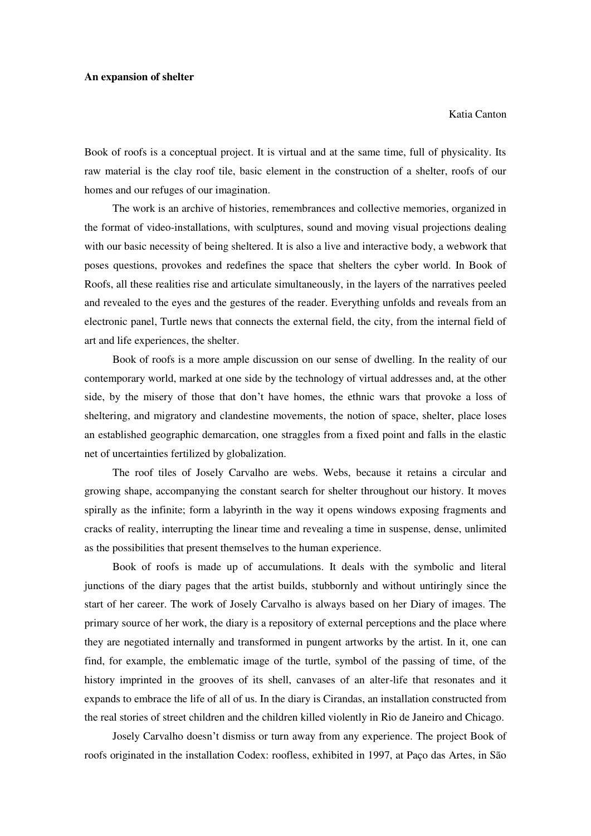## **An expansion of shelter**

## Katia Canton

Book of roofs is a conceptual project. It is virtual and at the same time, full of physicality. Its raw material is the clay roof tile, basic element in the construction of a shelter, roofs of our homes and our refuges of our imagination.

The work is an archive of histories, remembrances and collective memories, organized in the format of video-installations, with sculptures, sound and moving visual projections dealing with our basic necessity of being sheltered. It is also a live and interactive body, a webwork that poses questions, provokes and redefines the space that shelters the cyber world. In Book of Roofs, all these realities rise and articulate simultaneously, in the layers of the narratives peeled and revealed to the eyes and the gestures of the reader. Everything unfolds and reveals from an electronic panel, Turtle news that connects the external field, the city, from the internal field of art and life experiences, the shelter.

Book of roofs is a more ample discussion on our sense of dwelling. In the reality of our contemporary world, marked at one side by the technology of virtual addresses and, at the other side, by the misery of those that don't have homes, the ethnic wars that provoke a loss of sheltering, and migratory and clandestine movements, the notion of space, shelter, place loses an established geographic demarcation, one straggles from a fixed point and falls in the elastic net of uncertainties fertilized by globalization.

The roof tiles of Josely Carvalho are webs. Webs, because it retains a circular and growing shape, accompanying the constant search for shelter throughout our history. It moves spirally as the infinite; form a labyrinth in the way it opens windows exposing fragments and cracks of reality, interrupting the linear time and revealing a time in suspense, dense, unlimited as the possibilities that present themselves to the human experience.

Book of roofs is made up of accumulations. It deals with the symbolic and literal junctions of the diary pages that the artist builds, stubbornly and without untiringly since the start of her career. The work of Josely Carvalho is always based on her Diary of images. The primary source of her work, the diary is a repository of external perceptions and the place where they are negotiated internally and transformed in pungent artworks by the artist. In it, one can find, for example, the emblematic image of the turtle, symbol of the passing of time, of the history imprinted in the grooves of its shell, canvases of an alter-life that resonates and it expands to embrace the life of all of us. In the diary is Cirandas, an installation constructed from the real stories of street children and the children killed violently in Rio de Janeiro and Chicago.

Josely Carvalho doesn't dismiss or turn away from any experience. The project Book of roofs originated in the installation Codex: roofless, exhibited in 1997, at Paço das Artes, in São